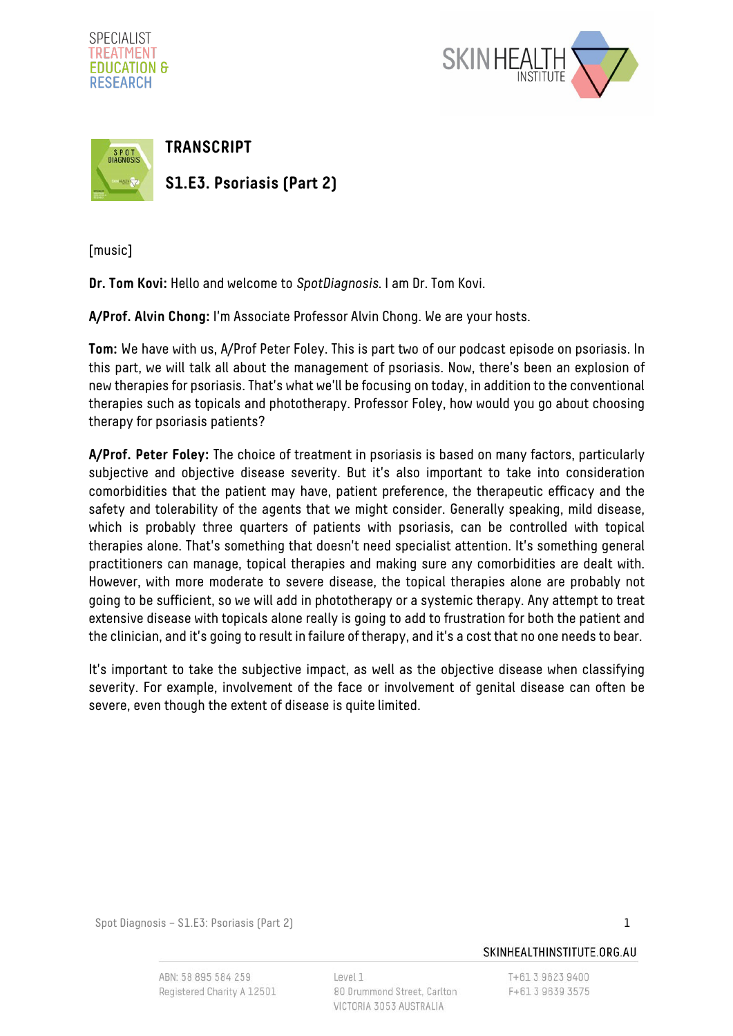





[music]

**Dr. Tom Kovi:** Hello and welcome to SpotDiagnosis. I am Dr. Tom Kovi.

**A/Prof. Alvin Chong:** I'm Associate Professor Alvin Chong. We are your hosts.

**Tom:** We have with us, A/Prof Peter Foley. This is part two of our podcast episode on psoriasis. In this part, we will talk all about the management of psoriasis. Now, there's been an explosion of new therapies for psoriasis. That's what we'll be focusing on today, in addition to the conventional therapies such as topicals and phototherapy. Professor Foley, how would you go about choosing therapy for psoriasis patients?

**A/Prof. Peter Foley:** The choice of treatment in psoriasis is based on many factors, particularly subjective and objective disease severity. But it's also important to take into consideration comorbidities that the patient may have, patient preference, the therapeutic efficacy and the safety and tolerability of the agents that we might consider. Generally speaking, mild disease, which is probably three quarters of patients with psoriasis, can be controlled with topical therapies alone. That's something that doesn't need specialist attention. It's something general practitioners can manage, topical therapies and making sure any comorbidities are dealt with. However, with more moderate to severe disease, the topical therapies alone are probably not going to be sufficient, so we will add in phototherapy or a systemic therapy. Any attempt to treat extensive disease with topicals alone really is going to add to frustration for both the patient and the clinician, and it's going to result in failure of therapy, and it's a cost that no one needs to bear.

It's important to take the subjective impact, as well as the objective disease when classifying severity. For example, involvement of the face or involvement of genital disease can often be severe, even though the extent of disease is quite limited.

Spot Diagnosis – S1.E3: Psoriasis (Part 2) 1

ABN: 58 895 584 259 Registered Charity A 12501 Level 1 80 Drummond Street, Carlton VICTORIA 3053 AUSTRALIA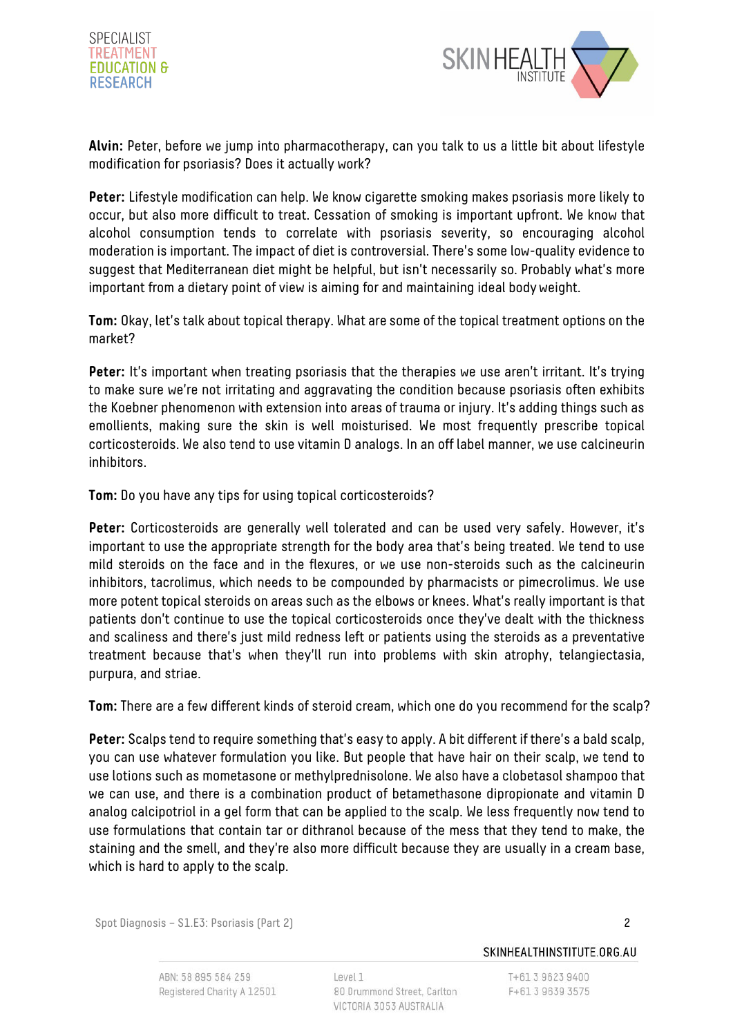



**Alvin:** Peter, before we jump into pharmacotherapy, can you talk to us a little bit about lifestyle modification for psoriasis? Does it actually work?

**Peter:** Lifestyle modification can help. We know cigarette smoking makes psoriasis more likely to occur, but also more difficult to treat. Cessation of smoking is important upfront. We know that alcohol consumption tends to correlate with psoriasis severity, so encouraging alcohol moderation is important. The impact of diet is controversial. There's some low-quality evidence to suggest that Mediterranean diet might be helpful, but isn't necessarily so. Probably what's more important from a dietary point of view is aiming for and maintaining ideal bodyweight.

**Tom:** Okay, let's talk about topical therapy. What are some of the topical treatment options on the market?

**Peter:** It's important when treating psoriasis that the therapies we use aren't irritant. It's trying to make sure we're not irritating and aggravating the condition because psoriasis often exhibits the Koebner phenomenon with extension into areas of trauma or injury. It's adding things such as emollients, making sure the skin is well moisturised. We most frequently prescribe topical corticosteroids. We also tend to use vitamin D analogs. In an off label manner, we use calcineurin inhibitors.

**Tom:** Do you have any tips for using topical corticosteroids?

**Peter:** Corticosteroids are generally well tolerated and can be used very safely. However, it's important to use the appropriate strength for the body area that's being treated. We tend to use mild steroids on the face and in the flexures, or we use non-steroids such as the calcineurin inhibitors, tacrolimus, which needs to be compounded by pharmacists or pimecrolimus. We use more potent topical steroids on areas such as the elbows or knees. What's really important is that patients don't continue to use the topical corticosteroids once they've dealt with the thickness and scaliness and there's just mild redness left or patients using the steroids as a preventative treatment because that's when they'll run into problems with skin atrophy, telangiectasia, purpura, and striae.

**Tom:** There are a few different kinds of steroid cream, which one do you recommend for the scalp?

**Peter:** Scalps tend to require something that's easy to apply. A bit different if there's a bald scalp, you can use whatever formulation you like. But people that have hair on their scalp, we tend to use lotions such as mometasone or methylprednisolone. We also have a clobetasol shampoo that we can use, and there is a combination product of betamethasone dipropionate and vitamin D analog calcipotriol in a gel form that can be applied to the scalp. We less frequently now tend to use formulations that contain tar or dithranol because of the mess that they tend to make, the staining and the smell, and they're also more difficult because they are usually in a cream base, which is hard to apply to the scalp.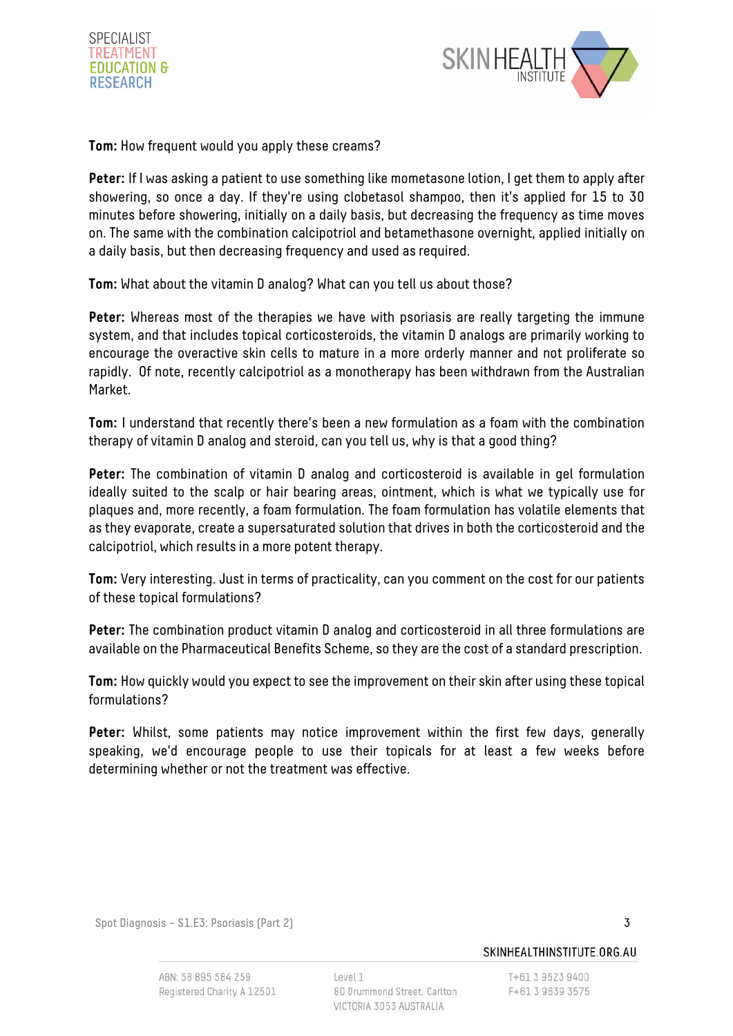



**Tom:** How frequent would you apply these creams?

**Peter:** If I was asking a patient to use something like mometasone lotion, I get them to apply after showering, so once a day. If they're using clobetasol shampoo, then it's applied for 15 to 30 minutes before showering, initially on a daily basis, but decreasing the frequency as time moves on. The same with the combination calcipotriol and betamethasone overnight, applied initially on a daily basis, but then decreasing frequency and used as required.

**Tom:** What about the vitamin D analog? What can you tell us about those?

**Peter:** Whereas most of the therapies we have with psoriasis are really targeting the immune system, and that includes topical corticosteroids, the vitamin D analogs are primarily working to encourage the overactive skin cells to mature in a more orderly manner and not proliferate so rapidly. Of note, recently calcipotriol as a monotherapy has been withdrawn from the Australian Market.

**Tom:** I understand that recently there's been a new formulation as a foam with the combination therapy of vitamin D analog and steroid, can you tell us, why is that a good thing?

Peter: The combination of vitamin D analog and corticosteroid is available in gel formulation ideally suited to the scalp or hair bearing areas, ointment, which is what we typically use for plaques and, more recently, a foam formulation. The foam formulation has volatile elements that as they evaporate, create a supersaturated solution that drives in both the corticosteroid and the calcipotriol, which results in a more potent therapy.

**Tom:** Very interesting. Just in terms of practicality, can you comment on the cost for our patients of these topical formulations?

**Peter:** The combination product vitamin D analog and corticosteroid in all three formulations are available on the Pharmaceutical Benefits Scheme, so they are the cost of a standard prescription.

**Tom:** How quickly would you expect to see the improvement on their skin after using these topical formulations?

**Peter:** Whilst, some patients may notice improvement within the first few days, generally speaking, we'd encourage people to use their topicals for at least a few weeks before determining whether or not the treatment was effective.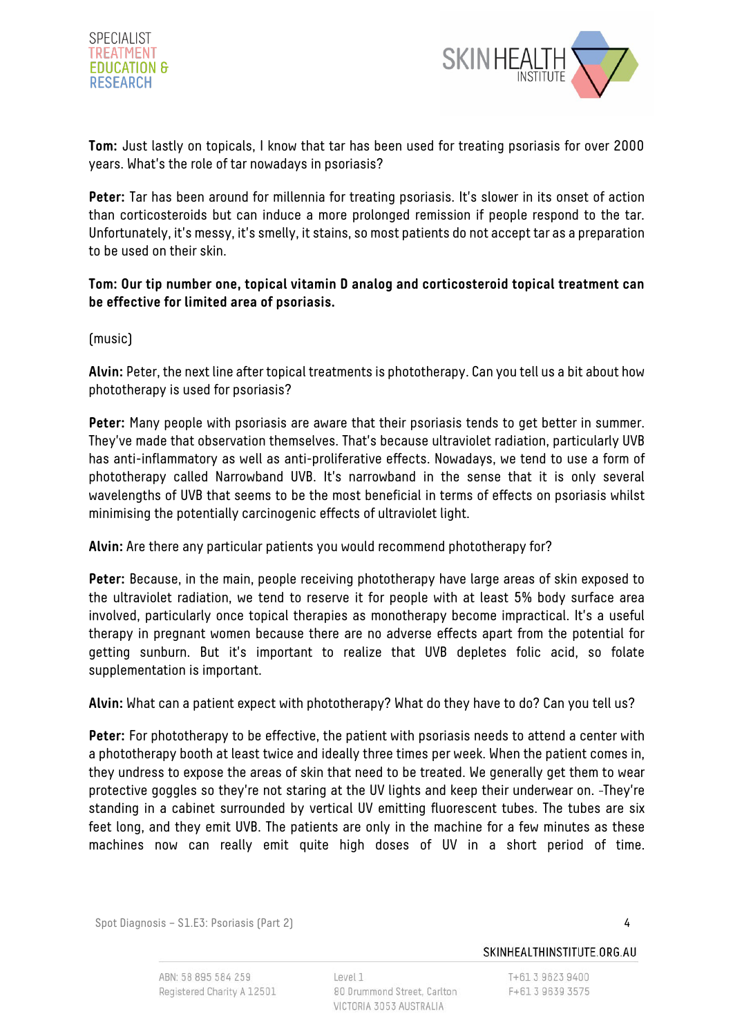



**Tom:** Just lastly on topicals, I know that tar has been used for treating psoriasis for over 2000 years. What's the role of tar nowadays in psoriasis?

**Peter:** Tar has been around for millennia for treating psoriasis. It's slower in its onset of action than corticosteroids but can induce a more prolonged remission if people respond to the tar. Unfortunately, it's messy, it's smelly, it stains, so most patients do not accept tar as a preparation to be used on their skin.

## **Tom: Our tip number one, topical vitamin D analog and corticosteroid topical treatment can be effective for limited area of psoriasis.**

(music)

**Alvin:** Peter, the next line after topical treatments is phototherapy. Can you tell us a bit about how phototherapy is used for psoriasis?

**Peter:** Many people with psoriasis are aware that their psoriasis tends to get better in summer. They've made that observation themselves. That's because ultraviolet radiation, particularly UVB has anti-inflammatory as well as anti-proliferative effects. Nowadays, we tend to use a form of phototherapy called Narrowband UVB. It's narrowband in the sense that it is only several wavelengths of UVB that seems to be the most beneficial in terms of effects on psoriasis whilst minimising the potentially carcinogenic effects of ultraviolet light.

**Alvin:** Are there any particular patients you would recommend phototherapy for?

**Peter:** Because, in the main, people receiving phototherapy have large areas of skin exposed to the ultraviolet radiation, we tend to reserve it for people with at least 5% body surface area involved, particularly once topical therapies as monotherapy become impractical. It's a useful therapy in pregnant women because there are no adverse effects apart from the potential for getting sunburn. But it's important to realize that UVB depletes folic acid, so folate supplementation is important.

**Alvin:** What can a patient expect with phototherapy? What do they have to do? Can you tell us?

**Peter:** For phototherapy to be effective, the patient with psoriasis needs to attend a center with a phototherapy booth at least twice and ideally three times per week. When the patient comes in, they undress to expose the areas of skin that need to be treated. We generally get them to wear protective goggles so they're not staring at the UV lights and keep their underwear on. They're standing in a cabinet surrounded by vertical UV emitting fluorescent tubes. The tubes are six feet long, and they emit UVB. The patients are only in the machine for a few minutes as these machines now can really emit quite high doses of UV in a short period of time.

Spot Diagnosis – S1.E3: Psoriasis (Part 2) 4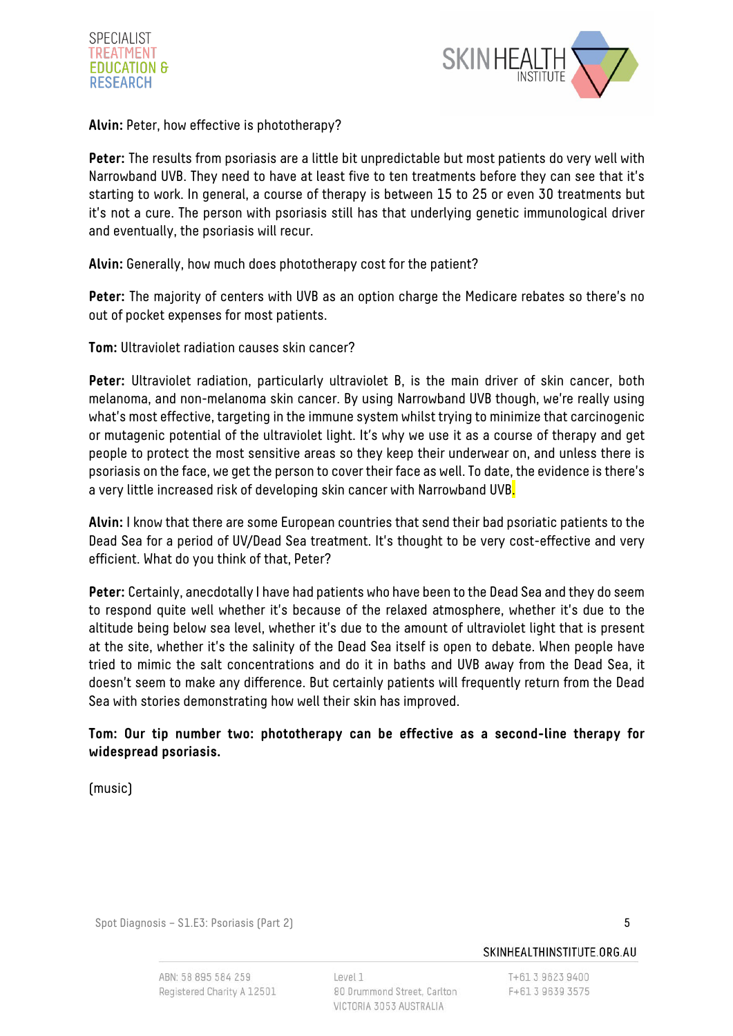



**Alvin:** Peter, how effective is phototherapy?

**Peter:** The results from psoriasis are a little bit unpredictable but most patients do very well with Narrowband UVB. They need to have at least five to ten treatments before they can see that it's starting to work. In general, a course of therapy is between 15 to 25 or even 30 treatments but it's not a cure. The person with psoriasis still has that underlying genetic immunological driver and eventually, the psoriasis will recur.

**Alvin:** Generally, how much does phototherapy cost for the patient?

**Peter:** The majority of centers with UVB as an option charge the Medicare rebates so there's no out of pocket expenses for most patients.

**Tom:** Ultraviolet radiation causes skin cancer?

Peter: Ultraviolet radiation, particularly ultraviolet B, is the main driver of skin cancer, both melanoma, and non-melanoma skin cancer. By using Narrowband UVB though, we're really using what's most effective, targeting in the immune system whilst trying to minimize that carcinogenic or mutagenic potential of the ultraviolet light. It's why we use it as a course of therapy and get people to protect the most sensitive areas so they keep their underwear on, and unless there is psoriasis on the face, we get the person to cover their face as well. To date, the evidence is there's a very little increased risk of developing skin cancer with Narrowband UVB<mark>.</mark>

**Alvin:** I know that there are some European countries that send their bad psoriatic patients to the Dead Sea for a period of UV/Dead Sea treatment. It's thought to be very cost-effective and very efficient. What do you think of that, Peter?

**Peter:** Certainly, anecdotally I have had patients who have been to the Dead Sea and they do seem to respond quite well whether it's because of the relaxed atmosphere, whether it's due to the altitude being below sea level, whether it's due to the amount of ultraviolet light that is present at the site, whether it's the salinity of the Dead Sea itself is open to debate. When people have tried to mimic the salt concentrations and do it in baths and UVB away from the Dead Sea, it doesn't seem to make any difference. But certainly patients will frequently return from the Dead Sea with stories demonstrating how well their skin has improved.

## **Tom: Our tip number two: phototherapy can be effective as a second-line therapy for widespread psoriasis.**

(music)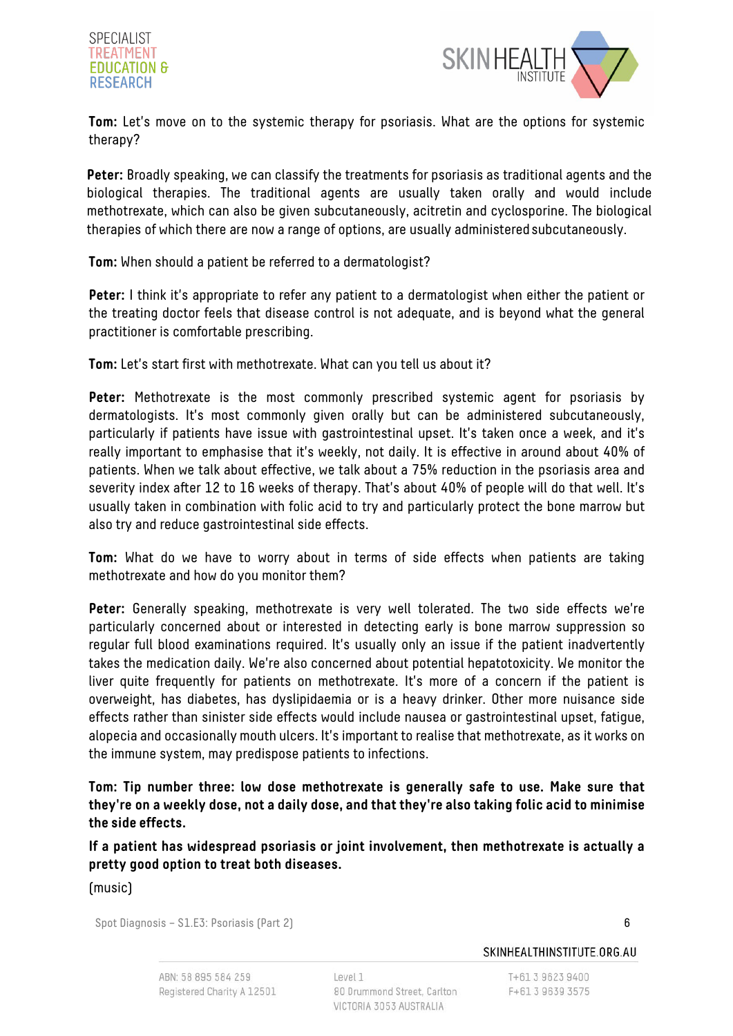



**Tom:** Let's move on to the systemic therapy for psoriasis. What are the options for systemic therapy?

**Peter:** Broadly speaking, we can classify the treatments for psoriasis as traditional agents and the biological therapies. The traditional agents are usually taken orally and would include methotrexate, which can also be given subcutaneously, acitretin and cyclosporine. The biological therapies of which there are now a range of options, are usually administeredsubcutaneously.

**Tom:** When should a patient be referred to a dermatologist?

Peter: I think it's appropriate to refer any patient to a dermatologist when either the patient or the treating doctor feels that disease control is not adequate, and is beyond what the general practitioner is comfortable prescribing.

**Tom:** Let's start first with methotrexate. What can you tell us about it?

**Peter:** Methotrexate is the most commonly prescribed systemic agent for psoriasis by dermatologists. It's most commonly given orally but can be administered subcutaneously, particularly if patients have issue with gastrointestinal upset. It's taken once a week, and it's really important to emphasise that it's weekly, not daily. It is effective in around about 40% of patients. When we talk about effective, we talk about a 75% reduction in the psoriasis area and severity index after 12 to 16 weeks of therapy. That's about 40% of people will do that well. It's usually taken in combination with folic acid to try and particularly protect the bone marrow but also try and reduce gastrointestinal side effects.

**Tom:** What do we have to worry about in terms of side effects when patients are taking methotrexate and how do you monitor them?

Peter: Generally speaking, methotrexate is very well tolerated. The two side effects we're particularly concerned about or interested in detecting early is bone marrow suppression so regular full blood examinations required. It's usually only an issue if the patient inadvertently takes the medication daily. We're also concerned about potential hepatotoxicity. We monitor the liver quite frequently for patients on methotrexate. It's more of a concern if the patient is overweight, has diabetes, has dyslipidaemia or is a heavy drinker. Other more nuisance side effects rather than sinister side effects would include nausea or gastrointestinal upset, fatigue, alopecia and occasionally mouth ulcers. It's important to realise that methotrexate, as it works on the immune system, may predispose patients to infections.

**Tom: Tip number three: low dose methotrexate is generally safe to use. Make sure that they're on a weekly dose, not a daily dose, and that they're also taking folic acid to minimise the side effects.**

**If a patient has widespread psoriasis or joint involvement, then methotrexate is actually a pretty good option to treat both diseases.** 

(music)

Spot Diagnosis – S1.E3: Psoriasis (Part 2) 6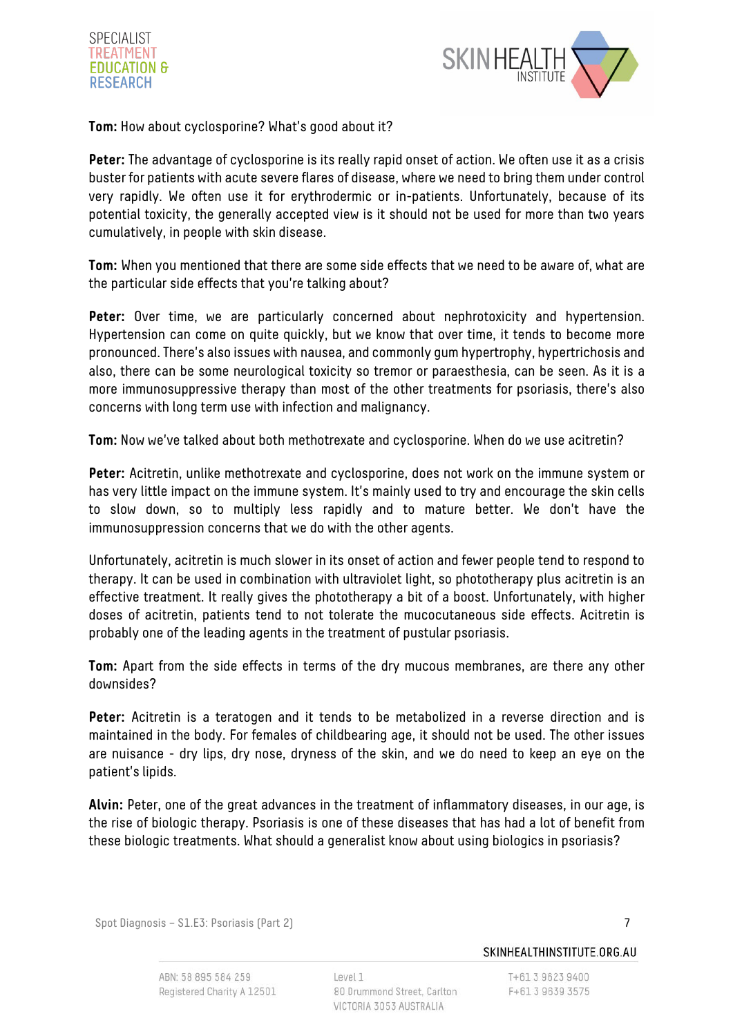



**Tom:** How about cyclosporine? What's good about it?

**Peter:** The advantage of cyclosporine is its really rapid onset of action. We often use it as a crisis buster for patients with acute severe flares of disease, where we need to bring them under control very rapidly. We often use it for erythrodermic or in-patients. Unfortunately, because of its potential toxicity, the generally accepted view is it should not be used for more than two years cumulatively, in people with skin disease.

**Tom:** When you mentioned that there are some side effects that we need to be aware of, what are the particular side effects that you're talking about?

Peter: Over time, we are particularly concerned about nephrotoxicity and hypertension. Hypertension can come on quite quickly, but we know that over time, it tends to become more pronounced. There's also issues with nausea, and commonly gum hypertrophy, hypertrichosis and also, there can be some neurological toxicity so tremor or paraesthesia, can be seen. As it is a more immunosuppressive therapy than most of the other treatments for psoriasis, there's also concerns with long term use with infection and malignancy.

**Tom:** Now we've talked about both methotrexate and cyclosporine. When do we use acitretin?

**Peter:** Acitretin, unlike methotrexate and cyclosporine, does not work on the immune system or has very little impact on the immune system. It's mainly used to try and encourage the skin cells to slow down, so to multiply less rapidly and to mature better. We don't have the immunosuppression concerns that we do with the other agents.

Unfortunately, acitretin is much slower in its onset of action and fewer people tend to respond to therapy. It can be used in combination with ultraviolet light, so phototherapy plus acitretin is an effective treatment. It really gives the phototherapy a bit of a boost. Unfortunately, with higher doses of acitretin, patients tend to not tolerate the mucocutaneous side effects. Acitretin is probably one of the leading agents in the treatment of pustular psoriasis.

**Tom:** Apart from the side effects in terms of the dry mucous membranes, are there any other downsides?

**Peter:** Acitretin is a teratogen and it tends to be metabolized in a reverse direction and is maintained in the body. For females of childbearing age, it should not be used. The other issues are nuisance - dry lips, dry nose, dryness of the skin, and we do need to keep an eye on the patient's lipids.

**Alvin:** Peter, one of the great advances in the treatment of inflammatory diseases, in our age, is the rise of biologic therapy. Psoriasis is one of these diseases that has had a lot of benefit from these biologic treatments. What should a generalist know about using biologics in psoriasis?

Spot Diagnosis – S1.E3: Psoriasis (Part 2) 7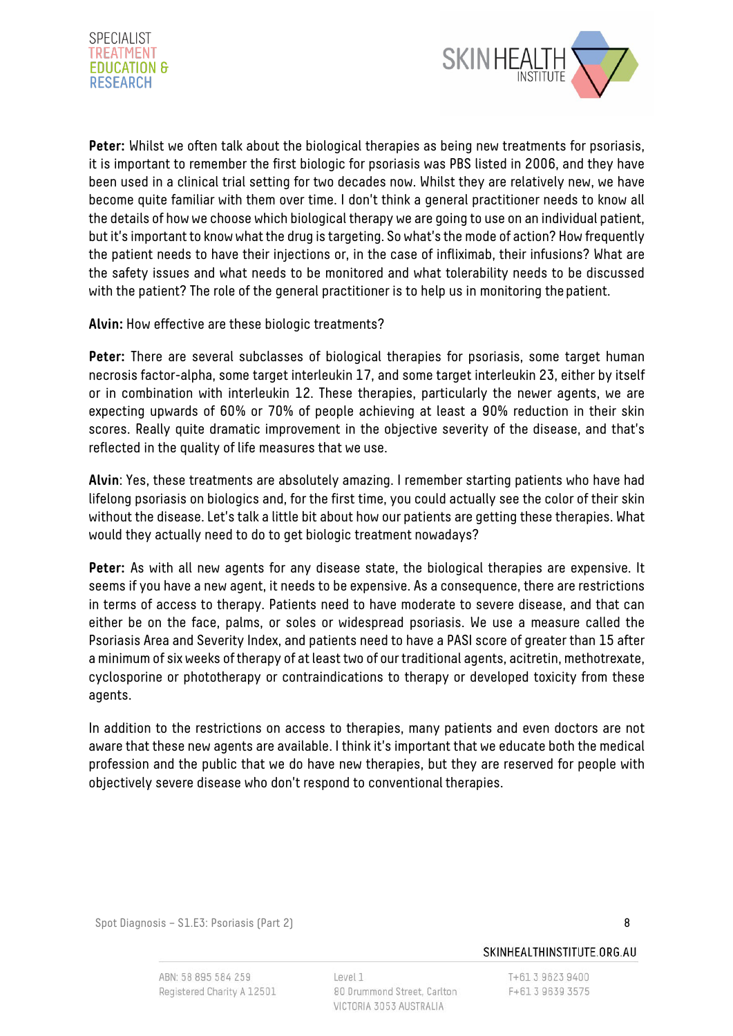



**Peter:** Whilst we often talk about the biological therapies as being new treatments for psoriasis, it is important to remember the first biologic for psoriasis was PBS listed in 2006, and they have been used in a clinical trial setting for two decades now. Whilst they are relatively new, we have become quite familiar with them over time. I don't think a general practitioner needs to know all the details of how we choose which biological therapy we are going to use on an individual patient, but it's important to know what the drug is targeting. So what's the mode of action? How frequently the patient needs to have their injections or, in the case of infliximab, their infusions? What are the safety issues and what needs to be monitored and what tolerability needs to be discussed with the patient? The role of the general practitioner is to help us in monitoring the patient.

**Alvin:** How effective are these biologic treatments?

**Peter:** There are several subclasses of biological therapies for psoriasis, some target human necrosis factor-alpha, some target interleukin 17, and some target interleukin 23, either by itself or in combination with interleukin 12. These therapies, particularly the newer agents, we are expecting upwards of 60% or 70% of people achieving at least a 90% reduction in their skin scores. Really quite dramatic improvement in the objective severity of the disease, and that's reflected in the quality of life measures that we use.

**Alvin**: Yes, these treatments are absolutely amazing. I remember starting patients who have had lifelong psoriasis on biologics and, for the first time, you could actually see the color of their skin without the disease. Let's talk a little bit about how our patients are getting these therapies. What would they actually need to do to get biologic treatment nowadays?

Peter: As with all new agents for any disease state, the biological therapies are expensive. It seems if you have a new agent, it needs to be expensive. As a consequence, there are restrictions in terms of access to therapy. Patients need to have moderate to severe disease, and that can either be on the face, palms, or soles or widespread psoriasis. We use a measure called the Psoriasis Area and Severity Index, and patients need to have a PASI score of greater than 15 after a minimum of six weeks oftherapy of at least two of our traditional agents, acitretin, methotrexate, cyclosporine or phototherapy or contraindications to therapy or developed toxicity from these agents.

In addition to the restrictions on access to therapies, many patients and even doctors are not aware that these new agents are available. I think it's important that we educate both the medical profession and the public that we do have new therapies, but they are reserved for people with objectively severe disease who don't respond to conventional therapies.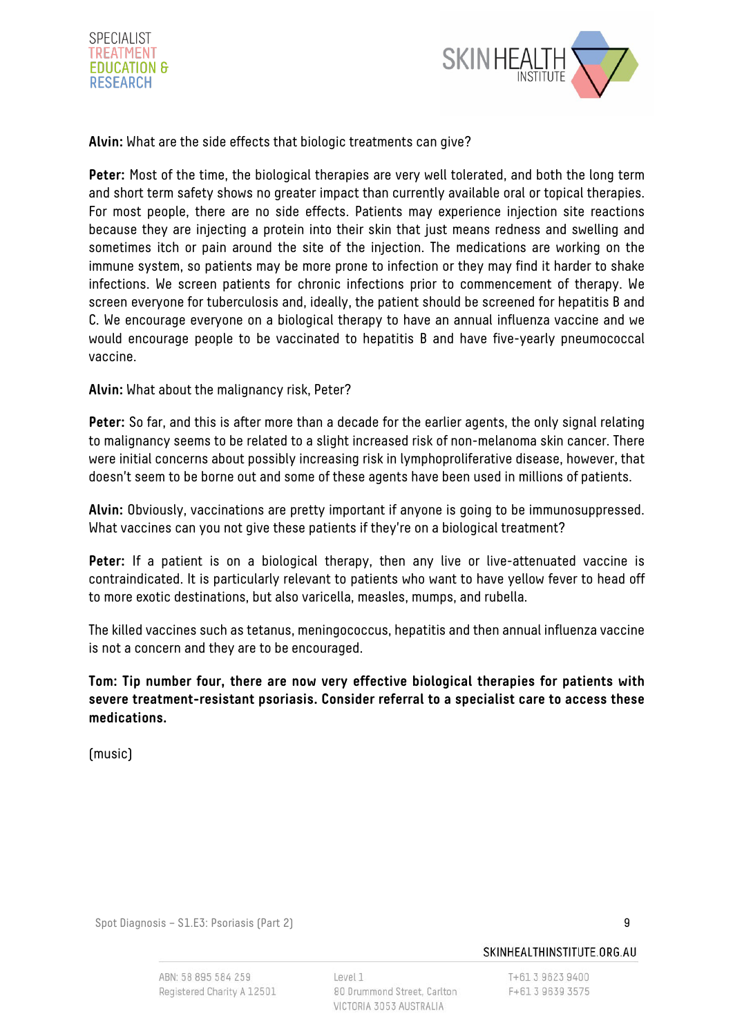



**Alvin:** What are the side effects that biologic treatments can give?

**Peter:** Most of the time, the biological therapies are very well tolerated, and both the long term and short term safety shows no greater impact than currently available oral or topical therapies. For most people, there are no side effects. Patients may experience injection site reactions because they are injecting a protein into their skin that just means redness and swelling and sometimes itch or pain around the site of the injection. The medications are working on the immune system, so patients may be more prone to infection or they may find it harder to shake infections. We screen patients for chronic infections prior to commencement of therapy. We screen everyone for tuberculosis and, ideally, the patient should be screened for hepatitis B and C. We encourage everyone on a biological therapy to have an annual influenza vaccine and we would encourage people to be vaccinated to hepatitis B and have five-yearly pneumococcal vaccine.

**Alvin:** What about the malignancy risk, Peter?

**Peter:** So far, and this is after more than a decade for the earlier agents, the only signal relating to malignancy seems to be related to a slight increased risk of non-melanoma skin cancer. There were initial concerns about possibly increasing risk in lymphoproliferative disease, however, that doesn't seem to be borne out and some of these agents have been used in millions of patients.

**Alvin:** Obviously, vaccinations are pretty important if anyone is going to be immunosuppressed. What vaccines can you not give these patients if they're on a biological treatment?

Peter: If a patient is on a biological therapy, then any live or live-attenuated vaccine is contraindicated. It is particularly relevant to patients who want to have yellow fever to head off to more exotic destinations, but also varicella, measles, mumps, and rubella.

The killed vaccines such as tetanus, meningococcus, hepatitis and then annual influenza vaccine is not a concern and they are to be encouraged.

**Tom: Tip number four, there are now very effective biological therapies for patients with severe treatment-resistant psoriasis. Consider referral to a specialist care to access these medications.**

(music)